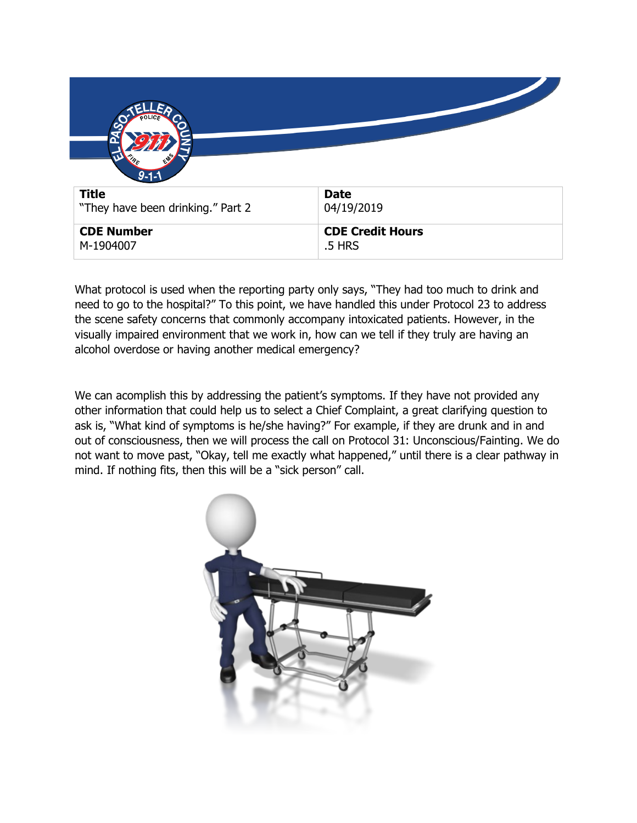| $9 - 1 - 1$                       |                                   |
|-----------------------------------|-----------------------------------|
| <b>Title</b>                      | <b>Date</b>                       |
| "They have been drinking." Part 2 | 04/19/2019                        |
| <b>CDE Number</b><br>M-1904007    | <b>CDE Credit Hours</b><br>.5 HRS |

What protocol is used when the reporting party only says, "They had too much to drink and need to go to the hospital?" To this point, we have handled this under Protocol 23 to address the scene safety concerns that commonly accompany intoxicated patients. However, in the visually impaired environment that we work in, how can we tell if they truly are having an alcohol overdose or having another medical emergency?

We can acomplish this by addressing the patient's symptoms. If they have not provided any other information that could help us to select a Chief Complaint, a great clarifying question to ask is, "What kind of symptoms is he/she having?" For example, if they are drunk and in and out of consciousness, then we will process the call on Protocol 31: Unconscious/Fainting. We do not want to move past, "Okay, tell me exactly what happened," until there is a clear pathway in mind. If nothing fits, then this will be a "sick person" call.

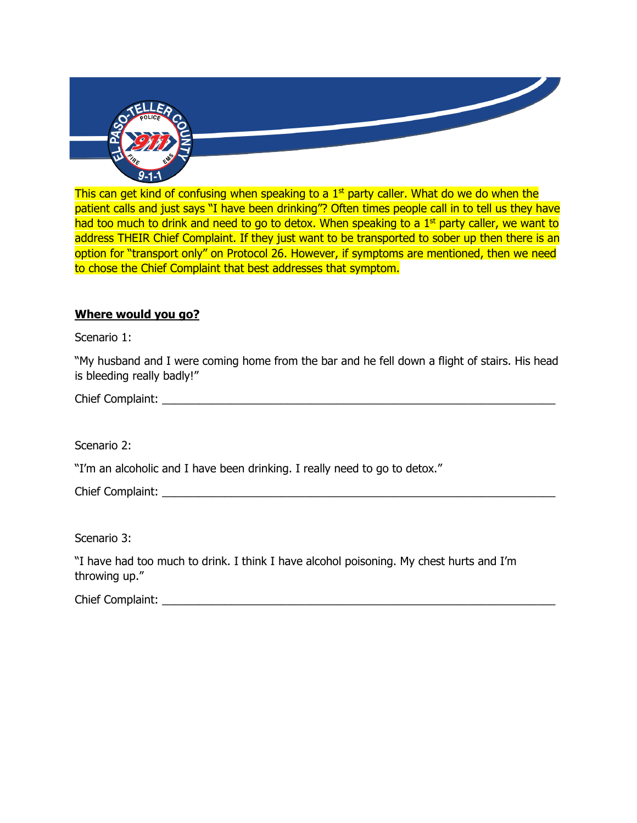

This can get kind of confusing when speaking to a 1<sup>st</sup> party caller. What do we do when the patient calls and just says "I have been drinking"? Often times people call in to tell us they have had too much to drink and need to go to detox. When speaking to a  $1<sup>st</sup>$  party caller, we want to address THEIR Chief Complaint. If they just want to be transported to sober up then there is an option for "transport only" on Protocol 26. However, if symptoms are mentioned, then we need to chose the Chief Complaint that best addresses that symptom.

## **Where would you go?**

Scenario 1:

"My husband and I were coming home from the bar and he fell down a flight of stairs. His head is bleeding really badly!"

Chief Complaint: \_\_\_\_\_\_\_\_\_\_\_\_\_\_\_\_\_\_\_\_\_\_\_\_\_\_\_\_\_\_\_\_\_\_\_\_\_\_\_\_\_\_\_\_\_\_\_\_\_\_\_\_\_\_\_\_\_\_\_\_\_\_\_

Scenario 2:

"I'm an alcoholic and I have been drinking. I really need to go to detox."

Chief Complaint:

Scenario 3:

"I have had too much to drink. I think I have alcohol poisoning. My chest hurts and I'm throwing up."

Chief Complaint: \_\_\_\_\_\_\_\_\_\_\_\_\_\_\_\_\_\_\_\_\_\_\_\_\_\_\_\_\_\_\_\_\_\_\_\_\_\_\_\_\_\_\_\_\_\_\_\_\_\_\_\_\_\_\_\_\_\_\_\_\_\_\_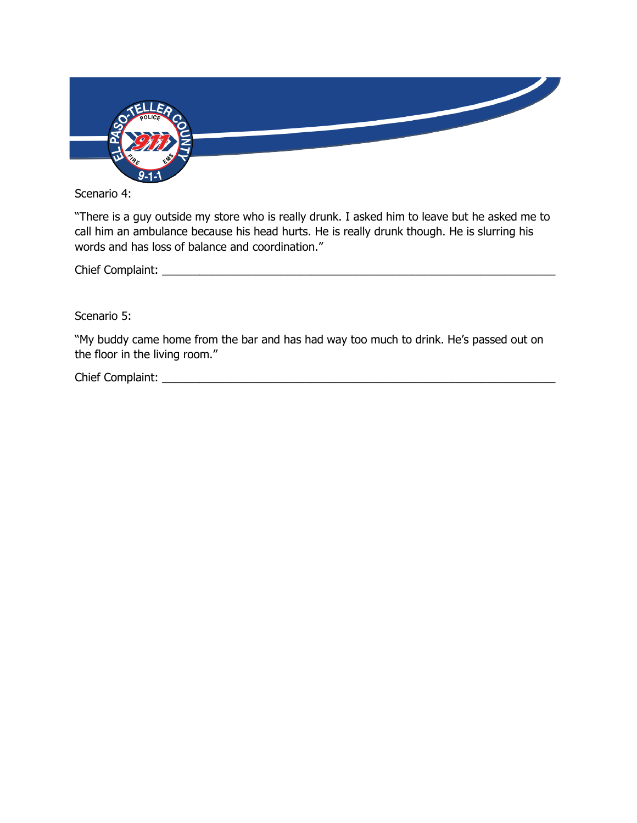

Scenario 4:

"There is a guy outside my store who is really drunk. I asked him to leave but he asked me to call him an ambulance because his head hurts. He is really drunk though. He is slurring his words and has loss of balance and coordination."

Chief Complaint: \_\_\_\_\_\_\_\_\_\_\_\_\_\_\_\_\_\_\_\_\_\_\_\_\_\_\_\_\_\_\_\_\_\_\_\_\_\_\_\_\_\_\_\_\_\_\_\_\_\_\_\_\_\_\_\_\_\_\_\_\_\_\_

Scenario 5:

"My buddy came home from the bar and has had way too much to drink. He's passed out on the floor in the living room."

Chief Complaint: \_\_\_\_\_\_\_\_\_\_\_\_\_\_\_\_\_\_\_\_\_\_\_\_\_\_\_\_\_\_\_\_\_\_\_\_\_\_\_\_\_\_\_\_\_\_\_\_\_\_\_\_\_\_\_\_\_\_\_\_\_\_\_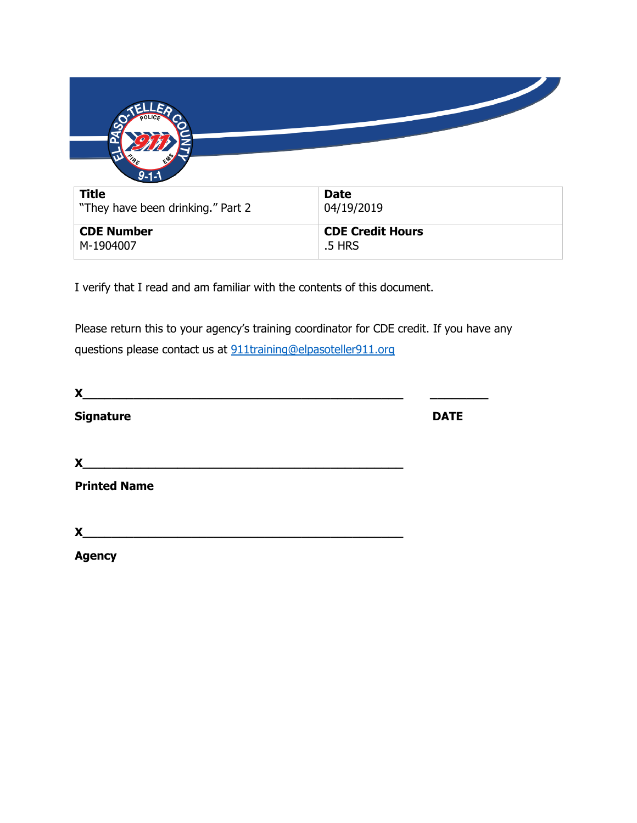| $9 - 1 - 1$                       |                                   |
|-----------------------------------|-----------------------------------|
| <b>Title</b>                      | <b>Date</b>                       |
| "They have been drinking." Part 2 | 04/19/2019                        |
| <b>CDE Number</b><br>M-1904007    | <b>CDE Credit Hours</b><br>.5 HRS |

I verify that I read and am familiar with the contents of this document.

Please return this to your agency's training coordinator for CDE credit. If you have any questions please contact us at [911training@elpasoteller911.org](mailto:911training@elpasoteller911.org)

| X                   |             |  |
|---------------------|-------------|--|
| <b>Signature</b>    | <b>DATE</b> |  |
| X                   |             |  |
| <b>Printed Name</b> |             |  |
| X                   |             |  |
| <b>Agency</b>       |             |  |